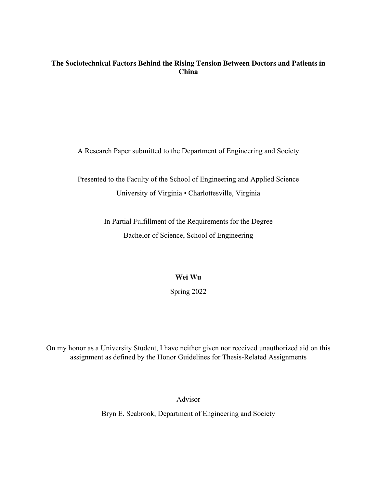# **The Sociotechnical Factors Behind the Rising Tension Between Doctors and Patients in China**

A Research Paper submitted to the Department of Engineering and Society

Presented to the Faculty of the School of Engineering and Applied Science University of Virginia • Charlottesville, Virginia

> In Partial Fulfillment of the Requirements for the Degree Bachelor of Science, School of Engineering

> > **Wei Wu**

Spring 2022

On my honor as a University Student, I have neither given nor received unauthorized aid on this assignment as defined by the Honor Guidelines for Thesis-Related Assignments

Advisor

Bryn E. Seabrook, Department of Engineering and Society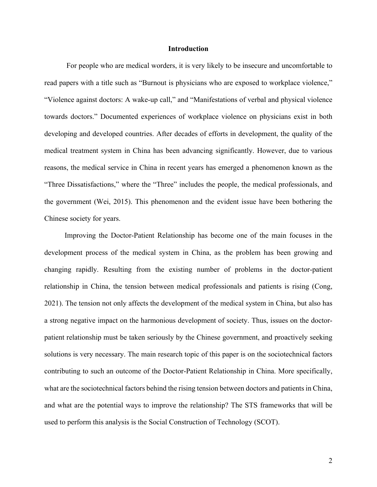# **Introduction**

For people who are medical worders, it is very likely to be insecure and uncomfortable to read papers with a title such as "Burnout is physicians who are exposed to workplace violence," "Violence against doctors: A wake-up call," and "Manifestations of verbal and physical violence towards doctors." Documented experiences of workplace violence on physicians exist in both developing and developed countries. After decades of efforts in development, the quality of the medical treatment system in China has been advancing significantly. However, due to various reasons, the medical service in China in recent years has emerged a phenomenon known as the "Three Dissatisfactions," where the "Three" includes the people, the medical professionals, and the government (Wei, 2015). This phenomenon and the evident issue have been bothering the Chinese society for years.

 Improving the Doctor-Patient Relationship has become one of the main focuses in the development process of the medical system in China, as the problem has been growing and changing rapidly. Resulting from the existing number of problems in the doctor-patient relationship in China, the tension between medical professionals and patients is rising (Cong, 2021). The tension not only affects the development of the medical system in China, but also has a strong negative impact on the harmonious development of society. Thus, issues on the doctorpatient relationship must be taken seriously by the Chinese government, and proactively seeking solutions is very necessary. The main research topic of this paper is on the sociotechnical factors contributing to such an outcome of the Doctor-Patient Relationship in China. More specifically, what are the sociotechnical factors behind the rising tension between doctors and patients in China, and what are the potential ways to improve the relationship? The STS frameworks that will be used to perform this analysis is the Social Construction of Technology (SCOT).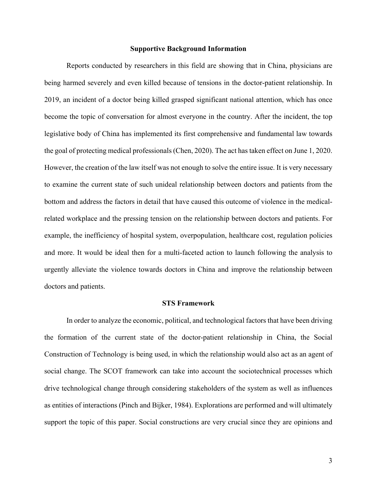#### **Supportive Background Information**

Reports conducted by researchers in this field are showing that in China, physicians are being harmed severely and even killed because of tensions in the doctor-patient relationship. In 2019, an incident of a doctor being killed grasped significant national attention, which has once become the topic of conversation for almost everyone in the country. After the incident, the top legislative body of China has implemented its first comprehensive and fundamental law towards the goal of protecting medical professionals (Chen, 2020). The act has taken effect on June 1, 2020. However, the creation of the law itself was not enough to solve the entire issue. It is very necessary to examine the current state of such unideal relationship between doctors and patients from the bottom and address the factors in detail that have caused this outcome of violence in the medicalrelated workplace and the pressing tension on the relationship between doctors and patients. For example, the inefficiency of hospital system, overpopulation, healthcare cost, regulation policies and more. It would be ideal then for a multi-faceted action to launch following the analysis to urgently alleviate the violence towards doctors in China and improve the relationship between doctors and patients.

#### **STS Framework**

In order to analyze the economic, political, and technological factors that have been driving the formation of the current state of the doctor-patient relationship in China, the Social Construction of Technology is being used, in which the relationship would also act as an agent of social change. The SCOT framework can take into account the sociotechnical processes which drive technological change through considering stakeholders of the system as well as influences as entities of interactions (Pinch and Bijker, 1984). Explorations are performed and will ultimately support the topic of this paper. Social constructions are very crucial since they are opinions and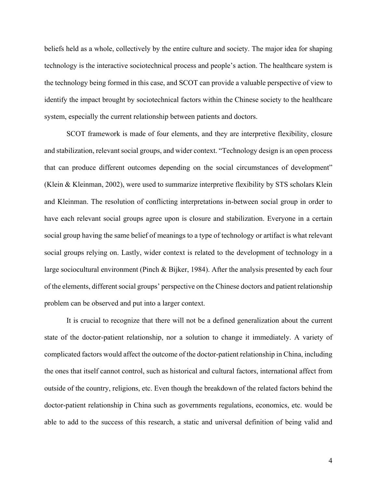beliefs held as a whole, collectively by the entire culture and society. The major idea for shaping technology is the interactive sociotechnical process and people's action. The healthcare system is the technology being formed in this case, and SCOT can provide a valuable perspective of view to identify the impact brought by sociotechnical factors within the Chinese society to the healthcare system, especially the current relationship between patients and doctors.

SCOT framework is made of four elements, and they are interpretive flexibility, closure and stabilization, relevant social groups, and wider context. "Technology design is an open process that can produce different outcomes depending on the social circumstances of development" (Klein & Kleinman, 2002), were used to summarize interpretive flexibility by STS scholars Klein and Kleinman. The resolution of conflicting interpretations in-between social group in order to have each relevant social groups agree upon is closure and stabilization. Everyone in a certain social group having the same belief of meanings to a type of technology or artifact is what relevant social groups relying on. Lastly, wider context is related to the development of technology in a large sociocultural environment (Pinch & Bijker, 1984). After the analysis presented by each four of the elements, different social groups' perspective on the Chinese doctors and patient relationship problem can be observed and put into a larger context.

It is crucial to recognize that there will not be a defined generalization about the current state of the doctor-patient relationship, nor a solution to change it immediately. A variety of complicated factors would affect the outcome of the doctor-patient relationship in China, including the ones that itself cannot control, such as historical and cultural factors, international affect from outside of the country, religions, etc. Even though the breakdown of the related factors behind the doctor-patient relationship in China such as governments regulations, economics, etc. would be able to add to the success of this research, a static and universal definition of being valid and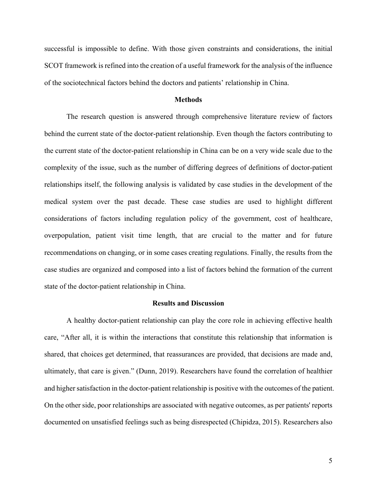successful is impossible to define. With those given constraints and considerations, the initial SCOT framework is refined into the creation of a useful framework for the analysis of the influence of the sociotechnical factors behind the doctors and patients' relationship in China.

# **Methods**

The research question is answered through comprehensive literature review of factors behind the current state of the doctor-patient relationship. Even though the factors contributing to the current state of the doctor-patient relationship in China can be on a very wide scale due to the complexity of the issue, such as the number of differing degrees of definitions of doctor-patient relationships itself, the following analysis is validated by case studies in the development of the medical system over the past decade. These case studies are used to highlight different considerations of factors including regulation policy of the government, cost of healthcare, overpopulation, patient visit time length, that are crucial to the matter and for future recommendations on changing, or in some cases creating regulations. Finally, the results from the case studies are organized and composed into a list of factors behind the formation of the current state of the doctor-patient relationship in China.

### **Results and Discussion**

A healthy doctor-patient relationship can play the core role in achieving effective health care, "After all, it is within the interactions that constitute this relationship that information is shared, that choices get determined, that reassurances are provided, that decisions are made and, ultimately, that care is given." (Dunn, 2019). Researchers have found the correlation of healthier and higher satisfaction in the doctor-patient relationship is positive with the outcomes of the patient. On the other side, poor relationships are associated with negative outcomes, as per patients' reports documented on unsatisfied feelings such as being disrespected (Chipidza, 2015). Researchers also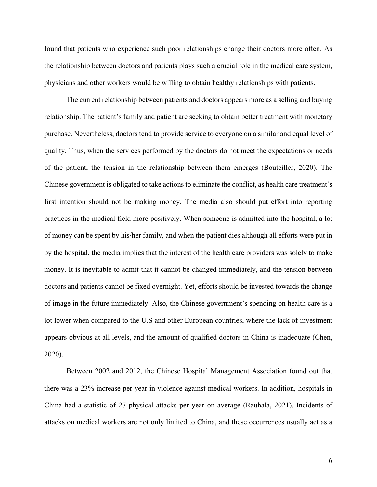found that patients who experience such poor relationships change their doctors more often. As the relationship between doctors and patients plays such a crucial role in the medical care system, physicians and other workers would be willing to obtain healthy relationships with patients.

The current relationship between patients and doctors appears more as a selling and buying relationship. The patient's family and patient are seeking to obtain better treatment with monetary purchase. Nevertheless, doctors tend to provide service to everyone on a similar and equal level of quality. Thus, when the services performed by the doctors do not meet the expectations or needs of the patient, the tension in the relationship between them emerges (Bouteiller, 2020). The Chinese government is obligated to take actions to eliminate the conflict, as health care treatment's first intention should not be making money. The media also should put effort into reporting practices in the medical field more positively. When someone is admitted into the hospital, a lot of money can be spent by his/her family, and when the patient dies although all efforts were put in by the hospital, the media implies that the interest of the health care providers was solely to make money. It is inevitable to admit that it cannot be changed immediately, and the tension between doctors and patients cannot be fixed overnight. Yet, efforts should be invested towards the change of image in the future immediately. Also, the Chinese government's spending on health care is a lot lower when compared to the U.S and other European countries, where the lack of investment appears obvious at all levels, and the amount of qualified doctors in China is inadequate (Chen, 2020).

Between 2002 and 2012, the Chinese Hospital Management Association found out that there was a 23% increase per year in violence against medical workers. In addition, hospitals in China had a statistic of 27 physical attacks per year on average (Rauhala, 2021). Incidents of attacks on medical workers are not only limited to China, and these occurrences usually act as a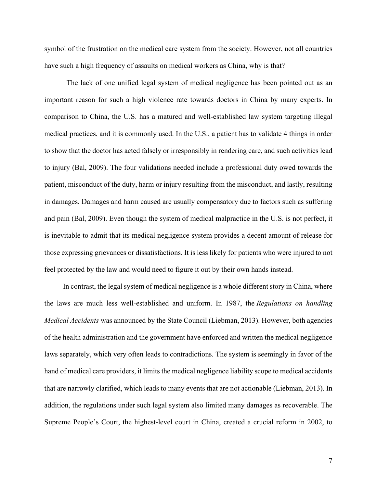symbol of the frustration on the medical care system from the society. However, not all countries have such a high frequency of assaults on medical workers as China, why is that?

The lack of one unified legal system of medical negligence has been pointed out as an important reason for such a high violence rate towards doctors in China by many experts. In comparison to China, the U.S. has a matured and well-established law system targeting illegal medical practices, and it is commonly used. In the U.S., a patient has to validate 4 things in order to show that the doctor has acted falsely or irresponsibly in rendering care, and such activities lead to injury (Bal, 2009). The four validations needed include a professional duty owed towards the patient, misconduct of the duty, harm or injury resulting from the misconduct, and lastly, resulting in damages. Damages and harm caused are usually compensatory due to factors such as suffering and pain (Bal, 2009). Even though the system of medical malpractice in the U.S. is not perfect, it is inevitable to admit that its medical negligence system provides a decent amount of release for those expressing grievances or dissatisfactions. It is less likely for patients who were injured to not feel protected by the law and would need to figure it out by their own hands instead.

In contrast, the legal system of medical negligence is a whole different story in China, where the laws are much less well-established and uniform. In 1987, the *Regulations on handling Medical Accidents* was announced by the State Council (Liebman, 2013). However, both agencies of the health administration and the government have enforced and written the medical negligence laws separately, which very often leads to contradictions. The system is seemingly in favor of the hand of medical care providers, it limits the medical negligence liability scope to medical accidents that are narrowly clarified, which leads to many events that are not actionable (Liebman, 2013). In addition, the regulations under such legal system also limited many damages as recoverable. The Supreme People's Court, the highest-level court in China, created a crucial reform in 2002, to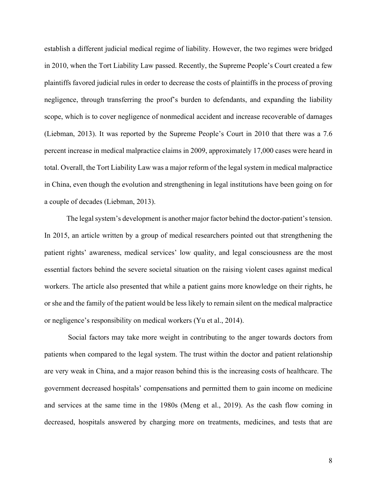establish a different judicial medical regime of liability. However, the two regimes were bridged in 2010, when the Tort Liability Law passed. Recently, the Supreme People's Court created a few plaintiffs favored judicial rules in order to decrease the costs of plaintiffs in the process of proving negligence, through transferring the proof's burden to defendants, and expanding the liability scope, which is to cover negligence of nonmedical accident and increase recoverable of damages (Liebman, 2013). It was reported by the Supreme People's Court in 2010 that there was a 7.6 percent increase in medical malpractice claims in 2009, approximately 17,000 cases were heard in total. Overall, the Tort Liability Law was a major reform of the legal system in medical malpractice in China, even though the evolution and strengthening in legal institutions have been going on for a couple of decades (Liebman, 2013).

The legal system's development is another major factor behind the doctor-patient's tension. In 2015, an article written by a group of medical researchers pointed out that strengthening the patient rights' awareness, medical services' low quality, and legal consciousness are the most essential factors behind the severe societal situation on the raising violent cases against medical workers. The article also presented that while a patient gains more knowledge on their rights, he or she and the family of the patient would be less likely to remain silent on the medical malpractice or negligence's responsibility on medical workers (Yu et al., 2014).

Social factors may take more weight in contributing to the anger towards doctors from patients when compared to the legal system. The trust within the doctor and patient relationship are very weak in China, and a major reason behind this is the increasing costs of healthcare. The government decreased hospitals' compensations and permitted them to gain income on medicine and services at the same time in the 1980s (Meng et al., 2019). As the cash flow coming in decreased, hospitals answered by charging more on treatments, medicines, and tests that are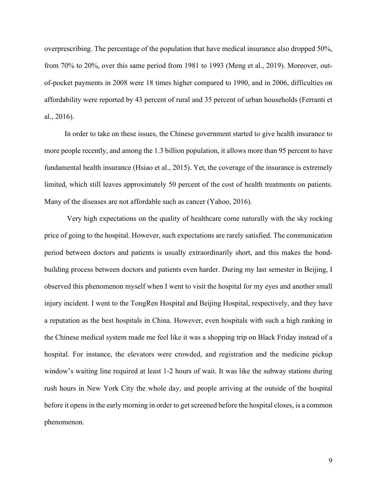overprescribing. The percentage of the population that have medical insurance also dropped 50%, from 70% to 20%, over this same period from 1981 to 1993 (Meng et al., 2019). Moreover, outof-pocket payments in 2008 were 18 times higher compared to 1990, and in 2006, difficulties on affordability were reported by 43 percent of rural and 35 percent of urban households (Ferranti et al., 2016).

In order to take on these issues, the Chinese government started to give health insurance to more people recently, and among the 1.3 billion population, it allows more than 95 percent to have fundamental health insurance (Hsiao et al., 2015). Yet, the coverage of the insurance is extremely limited, which still leaves approximately 50 percent of the cost of health treatments on patients. Many of the diseases are not affordable such as cancer (Yahoo, 2016).

Very high expectations on the quality of healthcare come naturally with the sky rocking price of going to the hospital. However, such expectations are rarely satisfied. The communication period between doctors and patients is usually extraordinarily short, and this makes the bondbuilding process between doctors and patients even harder. During my last semester in Beijing, I observed this phenomenon myself when I went to visit the hospital for my eyes and another small injury incident. I went to the TongRen Hospital and Beijing Hospital, respectively, and they have a reputation as the best hospitals in China. However, even hospitals with such a high ranking in the Chinese medical system made me feel like it was a shopping trip on Black Friday instead of a hospital. For instance, the elevators were crowded, and registration and the medicine pickup window's waiting line required at least 1-2 hours of wait. It was like the subway stations during rush hours in New York City the whole day, and people arriving at the outside of the hospital before it opens in the early morning in order to get screened before the hospital closes, is a common phenomenon.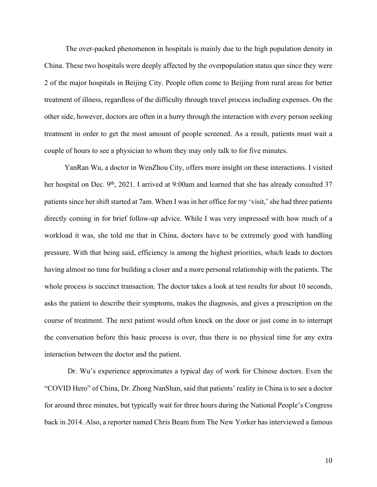The over-packed phenomenon in hospitals is mainly due to the high population density in China. These two hospitals were deeply affected by the overpopulation status quo since they were 2 of the major hospitals in Beijing City. People often come to Beijing from rural areas for better treatment of illness, regardless of the difficulty through travel process including expenses. On the other side, however, doctors are often in a hurry through the interaction with every person seeking treatment in order to get the most amount of people screened. As a result, patients must wait a couple of hours to see a physician to whom they may only talk to for five minutes.

YanRan Wu, a doctor in WenZhou City, offers more insight on these interactions. I visited her hospital on Dec. 9<sup>th</sup>, 2021. I arrived at 9:00am and learned that she has already consulted 37 patients since her shift started at 7am. When I was in her office for my 'visit,' she had three patients directly coming in for brief follow-up advice. While I was very impressed with how much of a workload it was, she told me that in China, doctors have to be extremely good with handling pressure. With that being said, efficiency is among the highest priorities, which leads to doctors having almost no time for building a closer and a more personal relationship with the patients. The whole process is succinct transaction. The doctor takes a look at test results for about 10 seconds, asks the patient to describe their symptoms, makes the diagnosis, and gives a prescription on the course of treatment. The next patient would often knock on the door or just come in to interrupt the conversation before this basic process is over, thus there is no physical time for any extra interaction between the doctor and the patient.

Dr. Wu's experience approximates a typical day of work for Chinese doctors. Even the "COVID Hero" of China, Dr. Zhong NanShan, said that patients' reality in China is to see a doctor for around three minutes, but typically wait for three hours during the National People's Congress back in 2014. Also, a reporter named Chris Beam from The New Yorker has interviewed a famous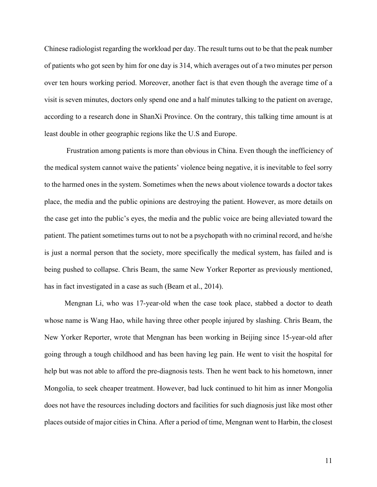Chinese radiologist regarding the workload per day. The result turns out to be that the peak number of patients who got seen by him for one day is 314, which averages out of a two minutes per person over ten hours working period. Moreover, another fact is that even though the average time of a visit is seven minutes, doctors only spend one and a half minutes talking to the patient on average, according to a research done in ShanXi Province. On the contrary, this talking time amount is at least double in other geographic regions like the U.S and Europe.

Frustration among patients is more than obvious in China. Even though the inefficiency of the medical system cannot waive the patients' violence being negative, it is inevitable to feel sorry to the harmed ones in the system. Sometimes when the news about violence towards a doctor takes place, the media and the public opinions are destroying the patient. However, as more details on the case get into the public's eyes, the media and the public voice are being alleviated toward the patient. The patient sometimes turns out to not be a psychopath with no criminal record, and he/she is just a normal person that the society, more specifically the medical system, has failed and is being pushed to collapse. Chris Beam, the same New Yorker Reporter as previously mentioned, has in fact investigated in a case as such (Beam et al., 2014).

 Mengnan Li, who was 17-year-old when the case took place, stabbed a doctor to death whose name is Wang Hao, while having three other people injured by slashing. Chris Beam, the New Yorker Reporter, wrote that Mengnan has been working in Beijing since 15-year-old after going through a tough childhood and has been having leg pain. He went to visit the hospital for help but was not able to afford the pre-diagnosis tests. Then he went back to his hometown, inner Mongolia, to seek cheaper treatment. However, bad luck continued to hit him as inner Mongolia does not have the resources including doctors and facilities for such diagnosis just like most other places outside of major cities in China. After a period of time, Mengnan went to Harbin, the closest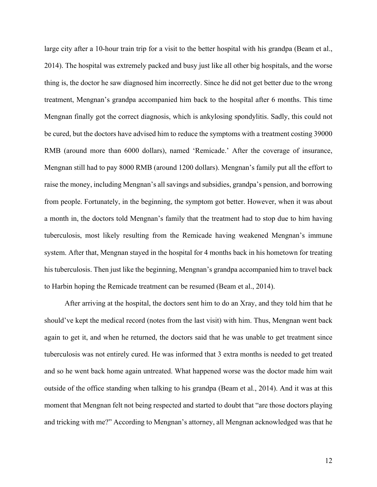large city after a 10-hour train trip for a visit to the better hospital with his grandpa (Beam et al., 2014). The hospital was extremely packed and busy just like all other big hospitals, and the worse thing is, the doctor he saw diagnosed him incorrectly. Since he did not get better due to the wrong treatment, Mengnan's grandpa accompanied him back to the hospital after 6 months. This time Mengnan finally got the correct diagnosis, which is ankylosing spondylitis. Sadly, this could not be cured, but the doctors have advised him to reduce the symptoms with a treatment costing 39000 RMB (around more than 6000 dollars), named 'Remicade.' After the coverage of insurance, Mengnan still had to pay 8000 RMB (around 1200 dollars). Mengnan's family put all the effort to raise the money, including Mengnan's all savings and subsidies, grandpa's pension, and borrowing from people. Fortunately, in the beginning, the symptom got better. However, when it was about a month in, the doctors told Mengnan's family that the treatment had to stop due to him having tuberculosis, most likely resulting from the Remicade having weakened Mengnan's immune system. After that, Mengnan stayed in the hospital for 4 months back in his hometown for treating his tuberculosis. Then just like the beginning, Mengnan's grandpa accompanied him to travel back to Harbin hoping the Remicade treatment can be resumed (Beam et al., 2014).

 After arriving at the hospital, the doctors sent him to do an Xray, and they told him that he should've kept the medical record (notes from the last visit) with him. Thus, Mengnan went back again to get it, and when he returned, the doctors said that he was unable to get treatment since tuberculosis was not entirely cured. He was informed that 3 extra months is needed to get treated and so he went back home again untreated. What happened worse was the doctor made him wait outside of the office standing when talking to his grandpa (Beam et al., 2014). And it was at this moment that Mengnan felt not being respected and started to doubt that "are those doctors playing and tricking with me?" According to Mengnan's attorney, all Mengnan acknowledged was that he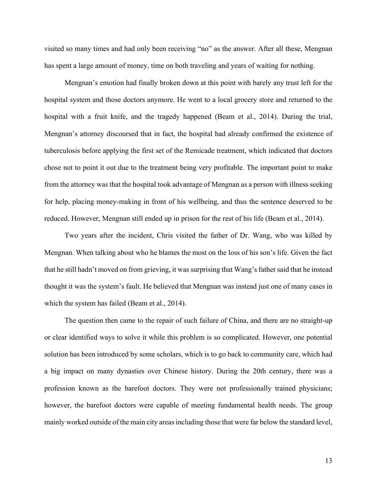visited so many times and had only been receiving "no" as the answer. After all these, Mengnan has spent a large amount of money, time on both traveling and years of waiting for nothing.

 Mengnan's emotion had finally broken down at this point with barely any trust left for the hospital system and those doctors anymore. He went to a local grocery store and returned to the hospital with a fruit knife, and the tragedy happened (Beam et al., 2014). During the trial, Mengnan's attorney discoursed that in fact, the hospital had already confirmed the existence of tuberculosis before applying the first set of the Remicade treatment, which indicated that doctors chose not to point it out due to the treatment being very profitable. The important point to make from the attorney was that the hospital took advantage of Mengnan as a person with illness seeking for help, placing money-making in front of his wellbeing, and thus the sentence deserved to be reduced. However, Mengnan still ended up in prison for the rest of his life (Beam et al., 2014).

 Two years after the incident, Chris visited the father of Dr. Wang, who was killed by Mengnan. When talking about who he blames the most on the loss of his son's life. Given the fact that he still hadn't moved on from grieving, it was surprising that Wang's father said that he instead thought it was the system's fault. He believed that Mengnan was instead just one of many cases in which the system has failed (Beam et al., 2014).

 The question then came to the repair of such failure of China, and there are no straight-up or clear identified ways to solve it while this problem is so complicated. However, one potential solution has been introduced by some scholars, which is to go back to community care, which had a big impact on many dynasties over Chinese history. During the 20th century, there was a profession known as the barefoot doctors. They were not professionally trained physicians; however, the barefoot doctors were capable of meeting fundamental health needs. The group mainly worked outside of the main city areas including those that were far below the standard level,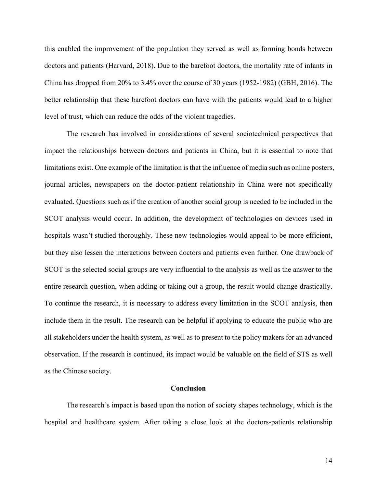this enabled the improvement of the population they served as well as forming bonds between doctors and patients (Harvard, 2018). Due to the barefoot doctors, the mortality rate of infants in China has dropped from 20% to 3.4% over the course of 30 years (1952-1982) (GBH, 2016). The better relationship that these barefoot doctors can have with the patients would lead to a higher level of trust, which can reduce the odds of the violent tragedies.

The research has involved in considerations of several sociotechnical perspectives that impact the relationships between doctors and patients in China, but it is essential to note that limitations exist. One example of the limitation is that the influence of media such as online posters, journal articles, newspapers on the doctor-patient relationship in China were not specifically evaluated. Questions such as if the creation of another social group is needed to be included in the SCOT analysis would occur. In addition, the development of technologies on devices used in hospitals wasn't studied thoroughly. These new technologies would appeal to be more efficient, but they also lessen the interactions between doctors and patients even further. One drawback of SCOT is the selected social groups are very influential to the analysis as well as the answer to the entire research question, when adding or taking out a group, the result would change drastically. To continue the research, it is necessary to address every limitation in the SCOT analysis, then include them in the result. The research can be helpful if applying to educate the public who are all stakeholders under the health system, as well as to present to the policy makers for an advanced observation. If the research is continued, its impact would be valuable on the field of STS as well as the Chinese society.

#### **Conclusion**

The research's impact is based upon the notion of society shapes technology, which is the hospital and healthcare system. After taking a close look at the doctors-patients relationship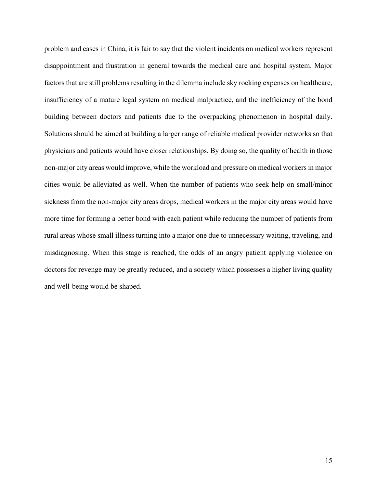problem and cases in China, it is fair to say that the violent incidents on medical workers represent disappointment and frustration in general towards the medical care and hospital system. Major factors that are still problems resulting in the dilemma include sky rocking expenses on healthcare, insufficiency of a mature legal system on medical malpractice, and the inefficiency of the bond building between doctors and patients due to the overpacking phenomenon in hospital daily. Solutions should be aimed at building a larger range of reliable medical provider networks so that physicians and patients would have closer relationships. By doing so, the quality of health in those non-major city areas would improve, while the workload and pressure on medical workers in major cities would be alleviated as well. When the number of patients who seek help on small/minor sickness from the non-major city areas drops, medical workers in the major city areas would have more time for forming a better bond with each patient while reducing the number of patients from rural areas whose small illness turning into a major one due to unnecessary waiting, traveling, and misdiagnosing. When this stage is reached, the odds of an angry patient applying violence on doctors for revenge may be greatly reduced, and a society which possesses a higher living quality and well-being would be shaped.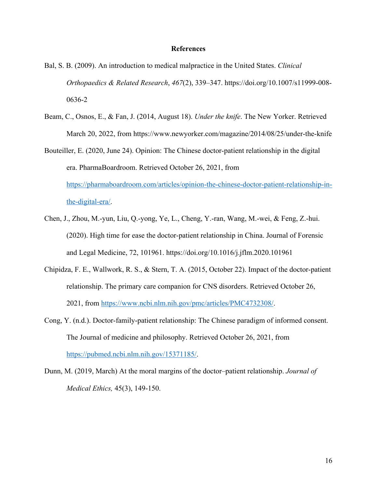# **References**

- Bal, S. B. (2009). An introduction to medical malpractice in the United States. *Clinical Orthopaedics & Related Research*, *467*(2), 339–347. https://doi.org/10.1007/s11999-008- 0636-2
- Beam, C., Osnos, E., & Fan, J. (2014, August 18). *Under the knife*. The New Yorker. Retrieved March 20, 2022, from https://www.newyorker.com/magazine/2014/08/25/under-the-knife
- Bouteiller, E. (2020, June 24). Opinion: The Chinese doctor-patient relationship in the digital era. PharmaBoardroom. Retrieved October 26, 2021, from https://pharmaboardroom.com/articles/opinion-the-chinese-doctor-patient-relationship-inthe-digital-era/.
- Chen, J., Zhou, M.-yun, Liu, Q.-yong, Ye, L., Cheng, Y.-ran, Wang, M.-wei, & Feng, Z.-hui. (2020). High time for ease the doctor-patient relationship in China. Journal of Forensic and Legal Medicine, 72, 101961. https://doi.org/10.1016/j.jflm.2020.101961
- Chipidza, F. E., Wallwork, R. S., & Stern, T. A. (2015, October 22). Impact of the doctor-patient relationship. The primary care companion for CNS disorders. Retrieved October 26, 2021, from https://www.ncbi.nlm.nih.gov/pmc/articles/PMC4732308/.
- Cong, Y. (n.d.). Doctor-family-patient relationship: The Chinese paradigm of informed consent. The Journal of medicine and philosophy. Retrieved October 26, 2021, from https://pubmed.ncbi.nlm.nih.gov/15371185/.
- Dunn, M. (2019, March) At the moral margins of the doctor–patient relationship. *Journal of Medical Ethics,* 45(3), 149-150.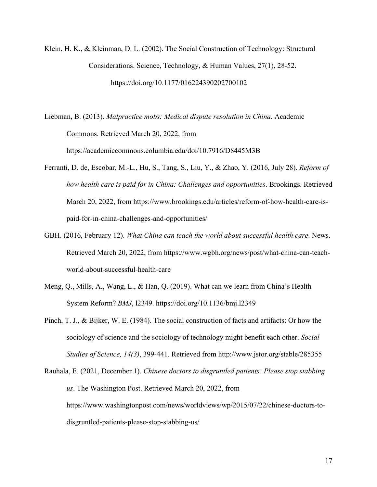Klein, H. K., & Kleinman, D. L. (2002). The Social Construction of Technology: Structural Considerations. Science, Technology, & Human Values, 27(1), 28-52. https://doi.org/10.1177/016224390202700102

Liebman, B. (2013). *Malpractice mobs: Medical dispute resolution in China*. Academic Commons. Retrieved March 20, 2022, from https://academiccommons.columbia.edu/doi/10.7916/D8445M3B

- Ferranti, D. de, Escobar, M.-L., Hu, S., Tang, S., Liu, Y., & Zhao, Y. (2016, July 28). *Reform of how health care is paid for in China: Challenges and opportunities*. Brookings. Retrieved March 20, 2022, from https://www.brookings.edu/articles/reform-of-how-health-care-ispaid-for-in-china-challenges-and-opportunities/
- GBH. (2016, February 12). *What China can teach the world about successful health care*. News. Retrieved March 20, 2022, from https://www.wgbh.org/news/post/what-china-can-teachworld-about-successful-health-care
- Meng, Q., Mills, A., Wang, L., & Han, Q. (2019). What can we learn from China's Health System Reform? *BMJ*, l2349. https://doi.org/10.1136/bmj.l2349
- Pinch, T. J., & Bijker, W. E. (1984). The social construction of facts and artifacts: Or how the sociology of science and the sociology of technology might benefit each other. *Social Studies of Science, 14(3)*, 399-441. Retrieved from http://www.jstor.org/stable/285355
- Rauhala, E. (2021, December 1). *Chinese doctors to disgruntled patients: Please stop stabbing us*. The Washington Post. Retrieved March 20, 2022, from https://www.washingtonpost.com/news/worldviews/wp/2015/07/22/chinese-doctors-todisgruntled-patients-please-stop-stabbing-us/